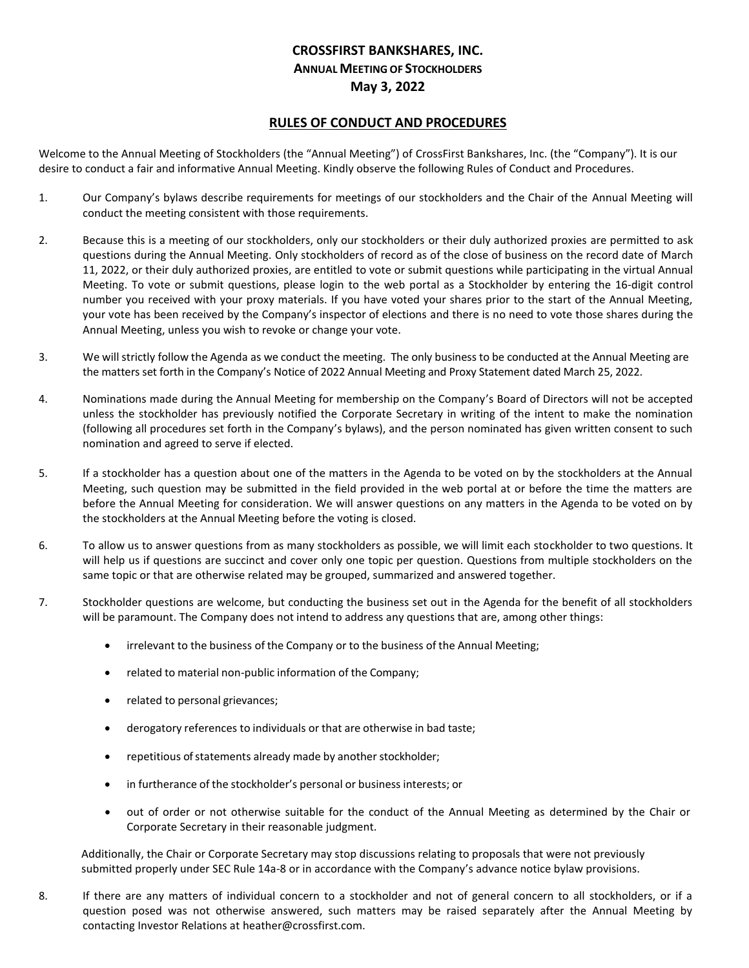## **CROSSFIRST BANKSHARES, INC. ANNUAL MEETING OF STOCKHOLDERS May 3, 2022**

## **RULES OF CONDUCT AND PROCEDURES**

Welcome to the Annual Meeting of Stockholders (the "Annual Meeting") of CrossFirst Bankshares, Inc. (the "Company"). It is our desire to conduct a fair and informative Annual Meeting. Kindly observe the following Rules of Conduct and Procedures.

- 1. Our Company's bylaws describe requirements for meetings of our stockholders and the Chair of the Annual Meeting will conduct the meeting consistent with those requirements.
- 2. Because this is a meeting of our stockholders, only our stockholders or their duly authorized proxies are permitted to ask questions during the Annual Meeting. Only stockholders of record as of the close of business on the record date of March 11, 2022, or their duly authorized proxies, are entitled to vote or submit questions while participating in the virtual Annual Meeting. To vote or submit questions, please login to the web portal as a Stockholder by entering the 16-digit control number you received with your proxy materials. If you have voted your shares prior to the start of the Annual Meeting, your vote has been received by the Company's inspector of elections and there is no need to vote those shares during the Annual Meeting, unless you wish to revoke or change your vote.
- 3. We will strictly follow the Agenda as we conduct the meeting. The only business to be conducted at the Annual Meeting are the matters set forth in the Company's Notice of 2022 Annual Meeting and Proxy Statement dated March 25, 2022.
- 4. Nominations made during the Annual Meeting for membership on the Company's Board of Directors will not be accepted unless the stockholder has previously notified the Corporate Secretary in writing of the intent to make the nomination (following all procedures set forth in the Company's bylaws), and the person nominated has given written consent to such nomination and agreed to serve if elected.
- 5. If a stockholder has a question about one of the matters in the Agenda to be voted on by the stockholders at the Annual Meeting, such question may be submitted in the field provided in the web portal at or before the time the matters are before the Annual Meeting for consideration. We will answer questions on any matters in the Agenda to be voted on by the stockholders at the Annual Meeting before the voting is closed.
- 6. To allow us to answer questions from as many stockholders as possible, we will limit each stockholder to two questions. It will help us if questions are succinct and cover only one topic per question. Questions from multiple stockholders on the same topic or that are otherwise related may be grouped, summarized and answered together.
- 7. Stockholder questions are welcome, but conducting the business set out in the Agenda for the benefit of all stockholders will be paramount. The Company does not intend to address any questions that are, among other things:
	- irrelevant to the business of the Company or to the business of the Annual Meeting;
	- related to material non-public information of the Company;
	- related to personal grievances;
	- derogatory references to individuals or that are otherwise in bad taste;
	- repetitious of statements already made by another stockholder;
	- in furtherance of the stockholder's personal or business interests; or
	- out of order or not otherwise suitable for the conduct of the Annual Meeting as determined by the Chair or Corporate Secretary in their reasonable judgment.

Additionally, the Chair or Corporate Secretary may stop discussions relating to proposals that were not previously submitted properly under SEC Rule 14a-8 or in accordance with the Company's advance notice bylaw provisions.

8. If there are any matters of individual concern to a stockholder and not of general concern to all stockholders, or if a question posed was not otherwise answered, such matters may be raised separately after the Annual Meeting by contacting Investor Relations at heather@crossfirst.com.